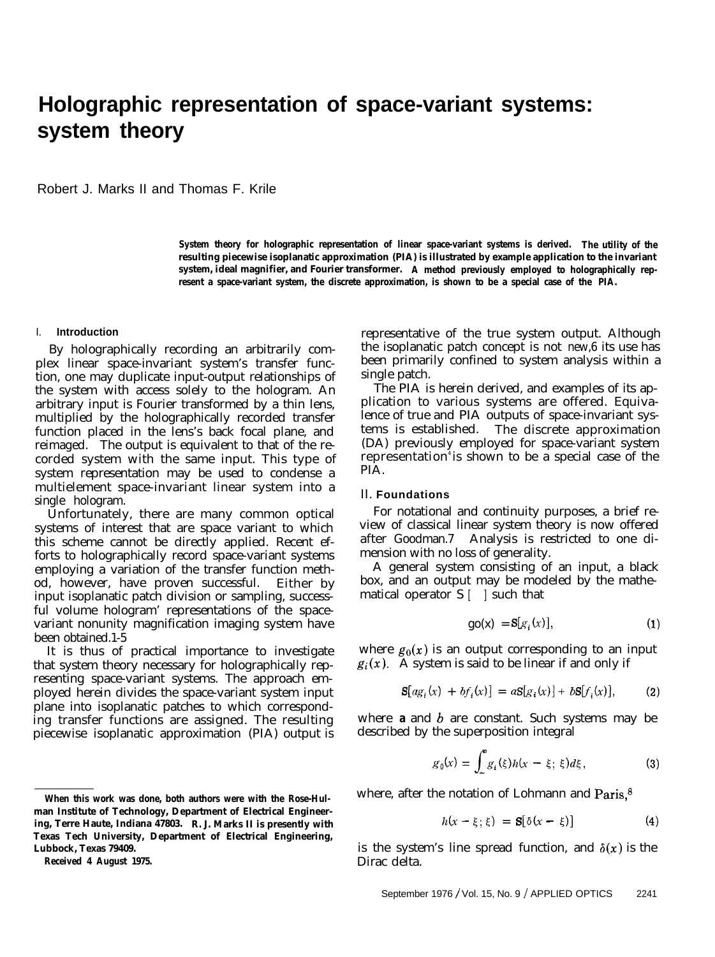# **Holographic representation of space-variant systems: system theory**

Robert J. Marks II and Thomas F. Krile

**System theory for holographic representation of linear space-variant systems is derived. The utility of the resulting piecewise isoplanatic approximation (PIA) is illustrated by example application to the invariant system, ideal magnifier, and Fourier transformer. A method previously employed to holographically represent a space-variant system, the discrete approximation, is shown to be a special case of the PIA.**

### I. **Introduction**

By holographically recording an arbitrarily complex linear space-invariant system's transfer function, one may duplicate input-output relationships of the system with access solely to the hologram. An arbitrary input is Fourier transformed by a thin lens, multiplied by the holographically recorded transfer function placed in the lens's back focal plane, and reimaged. The output is equivalent to that of the recorded system with the same input. This type of system representation may be used to condense a multielement space-invariant linear system into a single hologram.

Unfortunately, there are many common optical systems of interest that are space variant to which this scheme cannot be directly applied. Recent efforts to holographically record space-variant systems employing a variation of the transfer function method, however, have proven successful. Either by input isoplanatic patch division or sampling, successful volume hologram' representations of the spacevariant nonunity magnification imaging system have been obtained.1-5

It is thus of practical importance to investigate that system theory necessary for holographically representing space-variant systems. The approach employed herein divides the space-variant system input plane into isoplanatic patches to which corresponding transfer functions are assigned. The resulting piecewise isoplanatic approximation (PIA) output is

representative of the true system output. Although the isoplanatic patch concept is not new,6 its use has been primarily confined to system analysis within a single patch.

The PIA is herein derived, and examples of its application to various systems are offered. Equivalence of true and PIA outputs of space-invariant systems is established. The discrete approximation (DA) previously employed for space-variant system representation<sup>4</sup> is shown to be a special case of the PIA.

## II. **Foundations**

For notational and continuity purposes, a brief review of classical linear system theory is now offered after Goodman.7 Analysis is restricted to one dimension with no loss of generality.

A general system consisting of an input, a black box, and an output may be modeled by the mathematical operator  $S \mid \cdot$  such that

$$
g_0(x) = S[g_i(x)], \qquad (1)
$$

where  $g_0(x)$  is an output corresponding to an input  $g_i(x)$ . A system is said to be linear if and only if

$$
\mathbf{S}[ag_i(x) + bf_i(x)] = a\mathbf{S}[g_i(x)] + b\mathbf{S}[f_i(x)], \qquad (2)
$$

where  $\boldsymbol{a}$  and  $\boldsymbol{b}$  are constant. Such systems may be described by the superposition integral

$$
g_0(x) = \int_{-\infty}^{\infty} g_i(\xi) h(x - \xi; \xi) d\xi, \qquad (3)
$$

where, after the notation of Lohmann and Paris,<sup>8</sup>

$$
h(x - \xi; \xi) = \mathbf{S}[\delta(x - \xi)] \tag{4}
$$

is the system's line spread function, and  $\delta(x)$  is the Dirac delta.

**When this work was done, both authors were with the Rose-Hulman Institute of Technology, Department of Electrical Engineering, Terre Haute, Indiana 47803. R. J. Marks II is presently with Texas Tech University, Department of Electrical Engineering, Lubbock, Texas 79409.**

**Received 4 August 1975.**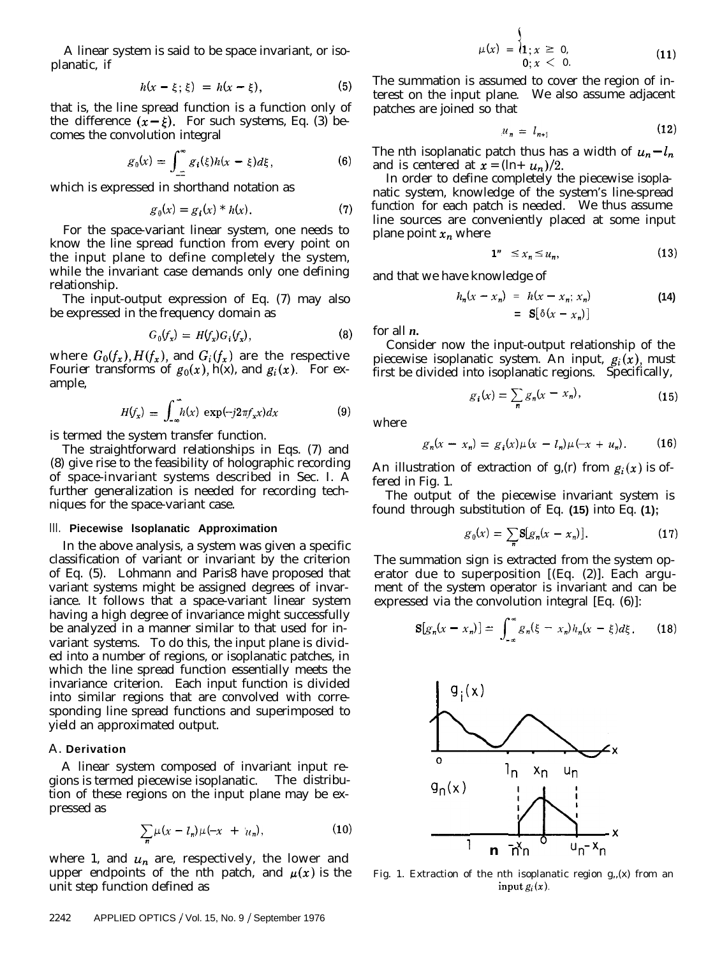A linear system is said to be space invariant, or isoplanatic, if

$$
h(x-\xi;\xi) = h(x-\xi), \qquad (5)
$$

that is, the line spread function is a function only of the difference  $(x - \xi)$ . For such systems, Eq. (3) becomes the convolution integral

$$
g_0(x) = \int_{-\infty}^{\infty} g_i(\xi)h(x - \xi)d\xi, \qquad (6)
$$

which is expressed in shorthand notation as

$$
g_0(x) = g_i(x) * h(x).
$$
 (7)

For the space-variant linear system, one needs to know the line spread function from every point on the input plane to define completely the system, while the invariant case demands only one defining relationship.

The input-output expression of Eq. (7) may also be expressed in the frequency domain as

$$
G_0(f_x) = H(f_x)G_i(f_x), \qquad (8)
$$

where  $G_0(f_x)$ ,  $H(f_x)$ , and  $G_i(f_x)$  are the respective Fourier transforms of  $g_0(x)$ , h(x), and  $g_i(x)$ . For example,

$$
H(f_x) = \int_{-\infty}^{\infty} h(x) \exp(-j2\pi f_x x) dx \qquad (9)
$$

is termed the system transfer function.

The straightforward relationships in Eqs. (7) and (8) give rise to the feasibility of holographic recording of space-invariant systems described in Sec. I. A further generalization is needed for recording techniques for the space-variant case.

#### III. **Piecewise lsoplanatic Approximation**

In the above analysis, a system was given a specific classification of variant or invariant by the criterion of Eq. (5). Lohmann and Paris8 have proposed that variant systems might be assigned degrees of invariance. It follows that a space-variant linear system having a high degree of invariance might successfully be analyzed in a manner similar to that used for invariant systems. To do this, the input plane is divided into a number of regions, or isoplanatic patches, in which the line spread function essentially meets the invariance criterion. Each input function is divided into similar regions that are convolved with corresponding line spread functions and superimposed to yield an approximated output.

#### A. **Derivation**

A linear system composed of invariant input regions is termed piecewise isoplanatic.8 The distribution of these regions on the input plane may be expressed as

$$
\sum_{n}\mu(x-l_{n})\mu(-x + u_{n}), \qquad (10)
$$

where 1, and  $u_n$  are, respectively, the lower and upper endpoints of the nth patch, and  $\mu(x)$  is the unit step function defined as

$$
\mu(x) = \begin{cases} 1 \\ 1; x \geq 0, \\ 0; x < 0. \end{cases} \tag{11}
$$

The summation is assumed to cover the region of interest on the input plane. We also assume adjacent patches are joined so that

$$
u_n = l_{n+1} \tag{12}
$$

The nth isoplanatic patch thus has a width of  $u_n - l_n$ and is centered at  $\bar{x} = (\ln u_n)/2$ .

In order to define completely the piecewise isoplanatic system, knowledge of the system's line-spread function for each patch is needed. We thus assume line sources are conveniently placed at some input plane point  $x_n$  where

$$
1^{\prime\prime} \leq x_n \leq u_n,\tag{13}
$$

and that we have knowledge of

$$
h_n(x - x_n) = h(x - x_n; x_n)
$$
  
=  $\mathbf{S}[\delta(x - x_n)]$  (14)

for all *n.*

Consider now the input-output relationship of the piecewise isoplanatic system. An input,  $g_i(x)$ , must first be divided into isoplanatic regions. Specifically,

$$
g_i(x) = \sum_{n} g_n(x - x_n), \qquad (15)
$$

where

$$
g_n(x - x_n) = g_i(x)\mu(x - l_n)\mu(-x + u_n). \tag{16}
$$

An illustration of extraction of  $g(x)$  from  $g_i(x)$  is offered in Fig. 1.

The output of the piecewise invariant system is found through substitution of Eq. **(15)** into Eq. **(1);**

$$
g_0(x) = \sum_n \mathbf{S}[g_n(x - x_n)]. \tag{17}
$$

The summation sign is extracted from the system operator due to superposition  $[(Eq. (2)]$ . Each argument of the system operator is invariant and can be expressed via the convolution integral [Eq. (6)]:

$$
\mathbf{S}[g_n(x-x_n)] = \int_{-\infty}^{\infty} g_n(\xi-x_n) h_n(x-\xi) d\xi. \qquad (18)
$$



Fig. 1. Extraction of the nth isoplanatic region g,,(x) from an input  $g_i(x)$ .